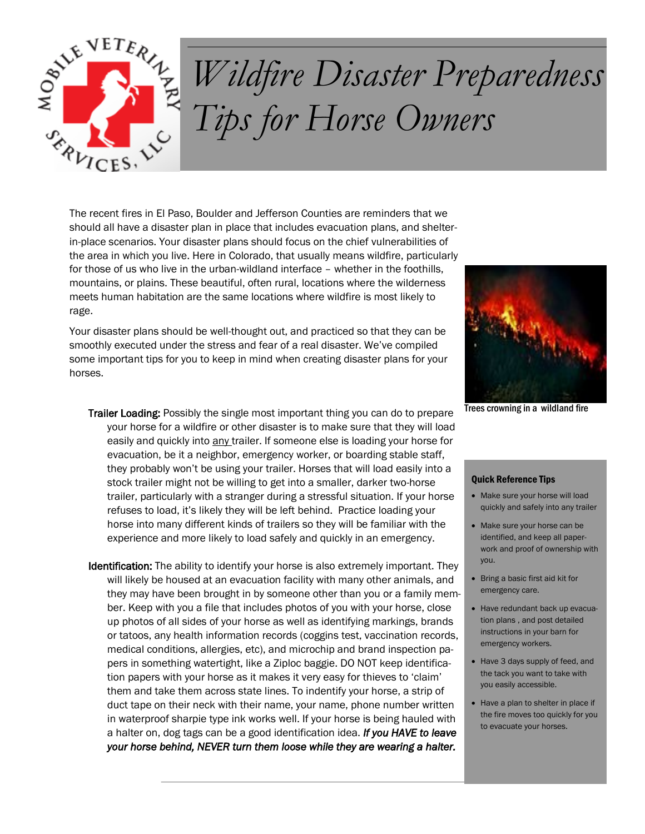

## *Wildfire Disaster Preparedness Tips for Horse Owners*

The recent fires in El Paso, Boulder and Jefferson Counties are reminders that we should all have a disaster plan in place that includes evacuation plans, and shelterin-place scenarios. Your disaster plans should focus on the chief vulnerabilities of the area in which you live. Here in Colorado, that usually means wildfire, particularly for those of us who live in the urban-wildland interface – whether in the foothills, mountains, or plains. These beautiful, often rural, locations where the wilderness meets human habitation are the same locations where wildfire is most likely to rage.

Your disaster plans should be well-thought out, and practiced so that they can be smoothly executed under the stress and fear of a real disaster. We've compiled some important tips for you to keep in mind when creating disaster plans for your horses.

- Trailer Loading: Possibly the single most important thing you can do to prepare your horse for a wildfire or other disaster is to make sure that they will load easily and quickly into any trailer. If someone else is loading your horse for evacuation, be it a neighbor, emergency worker, or boarding stable staff, they probably won't be using your trailer. Horses that will load easily into a stock trailer might not be willing to get into a smaller, darker two-horse trailer, particularly with a stranger during a stressful situation. If your horse refuses to load, it's likely they will be left behind. Practice loading your horse into many different kinds of trailers so they will be familiar with the experience and more likely to load safely and quickly in an emergency.
- Identification: The ability to identify your horse is also extremely important. They will likely be housed at an evacuation facility with many other animals, and they may have been brought in by someone other than you or a family member. Keep with you a file that includes photos of you with your horse, close up photos of all sides of your horse as well as identifying markings, brands or tatoos, any health information records (coggins test, vaccination records, medical conditions, allergies, etc), and microchip and brand inspection papers in something watertight, like a Ziploc baggie. DO NOT keep identification papers with your horse as it makes it very easy for thieves to 'claim' them and take them across state lines. To indentify your horse, a strip of duct tape on their neck with their name, your name, phone number written in waterproof sharpie type ink works well. If your horse is being hauled with a halter on, dog tags can be a good identification idea. *If you HAVE to leave your horse behind, NEVER turn them loose while they are wearing a halter.*



Trees crowning in a wildland fire

## Quick Reference Tips

- Make sure your horse will load quickly and safely into any trailer
- Make sure your horse can be identified, and keep all paperwork and proof of ownership with you.
- Bring a basic first aid kit for emergency care.
- Have redundant back up evacuation plans , and post detailed instructions in your barn for emergency workers.
- Have 3 days supply of feed, and the tack you want to take with you easily accessible.
- Have a plan to shelter in place if the fire moves too quickly for you to evacuate your horses.